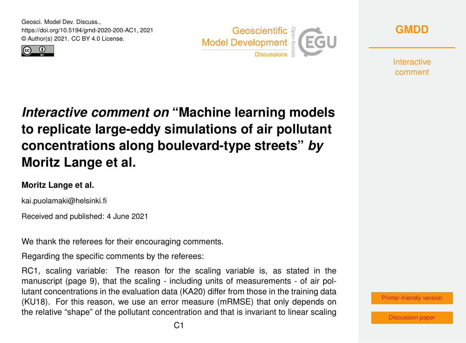Geosci. Model Dev. Discuss., https://doi.org/10.5194/gmd-2020-200-AC1, 2021 © Author(s) 2021. CC BY 4.0 License.







**Interactive** comment

## *Interactive comment on* **"Machine learning models to replicate large-eddy simulations of air pollutant concentrations along boulevard-type streets"** *by* **Moritz Lange et al.**

## **Moritz Lange et al.**

kai.puolamaki@helsinki.fi

Received and published: 4 June 2021

We thank the referees for their encouraging comments.

Regarding the specific comments by the referees:

RC1, scaling variable: The reason for the scaling variable is, as stated in the manuscript (page 9), that the scaling - including units of measurements - of air pollutant concentrations in the evaluation data (KA20) differ from those in the training data (KU18). For this reason, we use an error measure (mRMSE) that only depends on the relative "shape" of the pollutant concentration and that is invariant to linear scaling



[Discussion paper](https://gmd.copernicus.org/preprints/gmd-2020-200)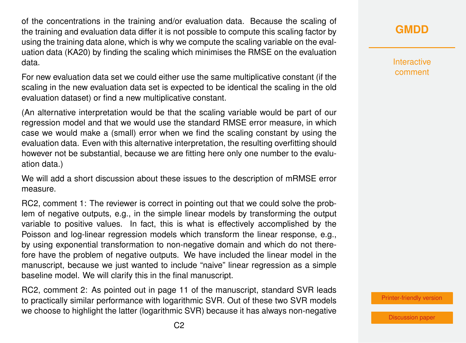of the concentrations in the training and/or evaluation data. Because the scaling of the training and evaluation data differ it is not possible to compute this scaling factor by using the training data alone, which is why we compute the scaling variable on the evaluation data (KA20) by finding the scaling which minimises the RMSE on the evaluation data.

For new evaluation data set we could either use the same multiplicative constant (if the scaling in the new evaluation data set is expected to be identical the scaling in the old evaluation dataset) or find a new multiplicative constant.

(An alternative interpretation would be that the scaling variable would be part of our regression model and that we would use the standard RMSE error measure, in which case we would make a (small) error when we find the scaling constant by using the evaluation data. Even with this alternative interpretation, the resulting overfitting should however not be substantial, because we are fitting here only one number to the evaluation data.)

We will add a short discussion about these issues to the description of mRMSE error measure.

RC2, comment 1: The reviewer is correct in pointing out that we could solve the problem of negative outputs, e.g., in the simple linear models by transforming the output variable to positive values. In fact, this is what is effectively accomplished by the Poisson and log-linear regression models which transform the linear response, e.g., by using exponential transformation to non-negative domain and which do not therefore have the problem of negative outputs. We have included the linear model in the manuscript, because we just wanted to include "naive" linear regression as a simple baseline model. We will clarify this in the final manuscript.

RC2, comment 2: As pointed out in page 11 of the manuscript, standard SVR leads to practically similar performance with logarithmic SVR. Out of these two SVR models we choose to highlight the latter (logarithmic SVR) because it has always non-negative

[Printer-friendly version](https://gmd.copernicus.org/preprints/gmd-2020-200/gmd-2020-200-AC1-print.pdf)

[Discussion paper](https://gmd.copernicus.org/preprints/gmd-2020-200)

Interactive comment